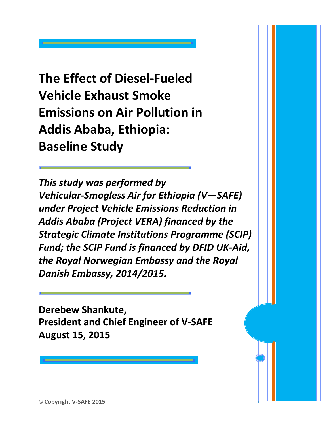**The Effect of Diesel-Fueled Vehicle Exhaust Smoke Emissions on Air Pollution in Addis Ababa, Ethiopia: Baseline Study**

*This study was performed by Vehicular-Smogless Air for Ethiopia (V—SAFE) under Project Vehicle Emissions Reduction in Addis Ababa (Project VERA) financed by the Strategic Climate Institutions Programme (SCIP) Fund; the SCIP Fund is financed by DFID UK-Aid, the Royal Norwegian Embassy and the Royal Danish Embassy, 2014/2015.*

**Derebew Shankute, President and Chief Engineer of V-SAFE August 15, 2015**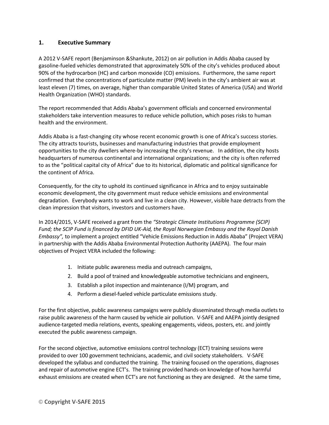## **1. Executive Summary**

A 2012 V-SAFE report (Benjaminson &Shankute, 2012) on air pollution in Addis Ababa caused by gasoline-fueled vehicles demonstrated that approximately 50% of the city's vehicles produced about 90% of the hydrocarbon (HC) and carbon monoxide (CO) emissions. Furthermore, the same report confirmed that the concentrations of particulate matter (PM) levels in the city's ambient air was at least eleven (7) times, on average, higher than comparable United States of America (USA) and World Health Organization (WHO) standards.

The report recommended that Addis Ababa's government officials and concerned environmental stakeholders take intervention measures to reduce vehicle pollution, which poses risks to human health and the environment.

Addis Ababa is a fast-changing city whose recent economic growth is one of Africa's success stories. The city attracts tourists, businesses and manufacturing industries that provide employment opportunities to the city dwellers where-by increasing the city's revenue. In addition, the city hosts headquarters of numerous continental and international organizations; and the city is often referred to as the "political capital city of Africa" due to its historical, diplomatic and political significance for the continent of Africa.

Consequently, for the city to uphold its continued significance in Africa and to enjoy sustainable economic development, the city government must reduce vehicle emissions and environmental degradation. Everybody wants to work and live in a clean city. However, visible haze detracts from the clean impression that visitors, investors and customers have.

In 2014/2015, V-SAFE received a grant from the *"Strategic Climate Institutions Programme (SCIP) Fund; the SCIP Fund is financed by DFID UK-Aid, the Royal Norwegian Embassy and the Royal Danish Embassy",* to implement a project entitled "Vehicle Emissions Reduction in Addis Ababa" (Project VERA) in partnership with the Addis Ababa Environmental Protection Authority (AAEPA). The four main objectives of Project VERA included the following:

- 1. Initiate public awareness media and outreach campaigns,
- 2. Build a pool of trained and knowledgeable automotive technicians and engineers,
- 3. Establish a pilot inspection and maintenance (I/M) program, and
- 4. Perform a diesel-fueled vehicle particulate emissions study.

For the first objective, public awareness campaigns were publicly disseminated through media outlets to raise public awareness of the harm caused by vehicle air pollution. V-SAFE and AAEPA jointly designed audience-targeted media relations, events, speaking engagements, videos, posters, etc. and jointly executed the public awareness campaign.

For the second objective, automotive emissions control technology (ECT) training sessions were provided to over 100 government technicians, academic, and civil society stakeholders. V-SAFE developed the syllabus and conducted the training. The training focused on the operations, diagnoses and repair of automotive engine ECT's. The training provided hands-on knowledge of how harmful exhaust emissions are created when ECT's are not functioning as they are designed. At the same time,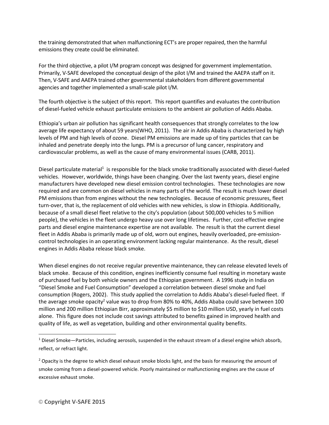the training demonstrated that when malfunctioning ECT's are proper repaired, then the harmful emissions they create could be eliminated.

For the third objective, a pilot I/M program concept was designed for government implementation. Primarily, V-SAFE developed the conceptual design of the pilot I/M and trained the AAEPA staff on it. Then, V-SAFE and AAEPA trained other governmental stakeholders from different governmental agencies and together implemented a small-scale pilot I/M.

The fourth objective is the subject of this report. This report quantifies and evaluates the contribution of diesel-fueled vehicle exhaust particulate emissions to the ambient air pollution of Addis Ababa.

Ethiopia's urban air pollution has significant health consequences that strongly correlates to the low average life expectancy of about 59 years(WHO, 2011). The air in Addis Ababa is characterized by high levels of PM and high levels of ozone. Diesel PM emissions are made up of tiny particles that can be inhaled and penetrate deeply into the lungs. PM is a precursor of lung cancer, respiratory and cardiovascular problems, as well as the cause of many environmental issues (CARB, 2011).

Diesel particulate material<sup>1</sup> is responsible for the black smoke traditionally associated with diesel-fueled vehicles. However, worldwide, things have been changing. Over the last twenty years, diesel engine manufacturers have developed new diesel emission control technologies. These technologies are now required and are common on diesel vehicles in many parts of the world. The result is much lower diesel PM emissions than from engines without the new technologies. Because of economic pressures, fleet turn-over, that is, the replacement of old vehicles with new vehicles, is slow in Ethiopia. Additionally, because of a small diesel fleet relative to the city's population (about 500,000 vehicles to 5 million people), the vehicles in the fleet undergo heavy use over long lifetimes. Further, cost-effective engine parts and diesel engine maintenance expertise are not available. The result is that the current diesel fleet in Addis Ababa is primarily made up of old, worn out engines, heavily overloaded, pre-emissioncontrol technologies in an operating environment lacking regular maintenance. As the result, diesel engines in Addis Ababa release black smoke.

When diesel engines do not receive regular preventive maintenance, they can release elevated levels of black smoke. Because of this condition, engines inefficiently consume fuel resulting in monetary waste of purchased fuel by both vehicle owners and the Ethiopian government. A 1996 study in India on "Diesel Smoke and Fuel Consumption" developed a correlation between diesel smoke and fuel consumption (Rogers, 2002). This study applied the correlation to Addis Ababa's diesel-fueled fleet. If the average smoke opacity<sup>2</sup> value was to drop from 80% to 40%, Addis Ababa could save between 100 million and 200 million Ethiopian Birr, approximately \$5 million to \$10 million USD, yearly in fuel costs alone. This figure does not include cost savings attributed to benefits gained in improved health and quality of life, as well as vegetation, building and other environmental quality benefits.

 $\overline{a}$ 

 $1$  Diesel Smoke—Particles, including aerosols, suspended in the exhaust stream of a diesel engine which absorb, reflect, or refract light.

 $<sup>2</sup>$  Opacity is the degree to which diesel exhaust smoke blocks light, and the basis for measuring the amount of</sup> smoke coming from a diesel-powered vehicle. Poorly maintained or malfunctioning engines are the cause of excessive exhaust smoke.